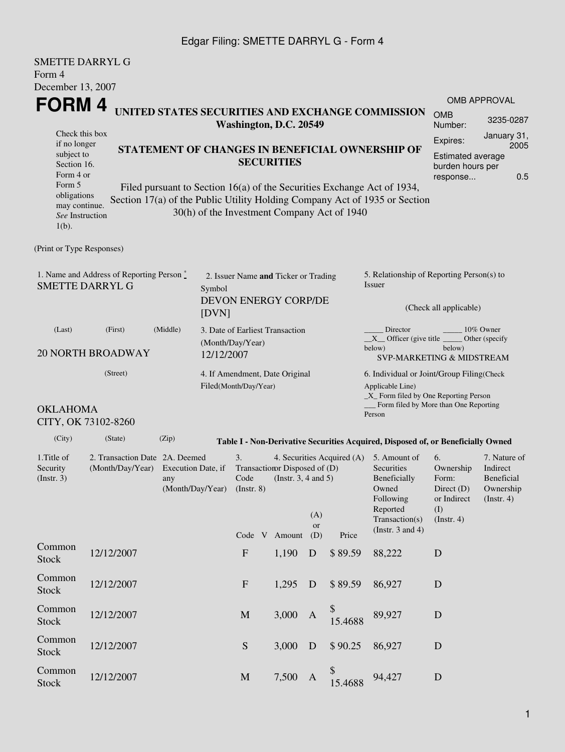## Edgar Filing: SMETTE DARRYL G - Form 4

| <b>SMETTE DARRYL G</b><br>Form 4                                                                                                           |                                                 |       |                                                                        |                                                          |                  |                                                              |                                                          |                                             |                                                                                                                                                       |                                                                               |                                                                    |  |  |
|--------------------------------------------------------------------------------------------------------------------------------------------|-------------------------------------------------|-------|------------------------------------------------------------------------|----------------------------------------------------------|------------------|--------------------------------------------------------------|----------------------------------------------------------|---------------------------------------------|-------------------------------------------------------------------------------------------------------------------------------------------------------|-------------------------------------------------------------------------------|--------------------------------------------------------------------|--|--|
| December 13, 2007                                                                                                                          |                                                 |       |                                                                        |                                                          |                  |                                                              |                                                          |                                             |                                                                                                                                                       |                                                                               |                                                                    |  |  |
| FORM 4<br>UNITED STATES SECURITIES AND EXCHANGE COMMISSION                                                                                 |                                                 |       |                                                                        |                                                          |                  |                                                              |                                                          |                                             |                                                                                                                                                       |                                                                               | OMB APPROVAL                                                       |  |  |
| Check this box                                                                                                                             |                                                 |       |                                                                        | Washington, D.C. 20549                                   |                  |                                                              |                                                          | <b>OMB</b><br>Number:                       | 3235-0287                                                                                                                                             |                                                                               |                                                                    |  |  |
| if no longer                                                                                                                               | STATEMENT OF CHANGES IN BENEFICIAL OWNERSHIP OF |       |                                                                        |                                                          |                  |                                                              |                                                          |                                             |                                                                                                                                                       | Expires:                                                                      | January 31,<br>2005                                                |  |  |
| subject to<br>Section 16.<br>Form 4 or                                                                                                     |                                                 |       |                                                                        | Estimated average<br>burden hours per<br>0.5<br>response |                  |                                                              |                                                          |                                             |                                                                                                                                                       |                                                                               |                                                                    |  |  |
| Form 5<br>obligations<br>may continue.<br>See Instruction<br>$1(b)$ .                                                                      |                                                 |       |                                                                        |                                                          |                  |                                                              |                                                          | 30(h) of the Investment Company Act of 1940 | Filed pursuant to Section 16(a) of the Securities Exchange Act of 1934,<br>Section 17(a) of the Public Utility Holding Company Act of 1935 or Section |                                                                               |                                                                    |  |  |
| (Print or Type Responses)                                                                                                                  |                                                 |       |                                                                        |                                                          |                  |                                                              |                                                          |                                             |                                                                                                                                                       |                                                                               |                                                                    |  |  |
| 1. Name and Address of Reporting Person *<br><b>SMETTE DARRYL G</b>                                                                        |                                                 |       | 2. Issuer Name and Ticker or Trading<br>Symbol<br>DEVON ENERGY CORP/DE |                                                          |                  |                                                              |                                                          |                                             | 5. Relationship of Reporting Person(s) to<br>Issuer                                                                                                   |                                                                               |                                                                    |  |  |
|                                                                                                                                            | [DVN]                                           |       |                                                                        |                                                          |                  |                                                              | (Check all applicable)                                   |                                             |                                                                                                                                                       |                                                                               |                                                                    |  |  |
| (Middle)<br>(Last)<br>(First)                                                                                                              |                                                 |       |                                                                        | (Month/Day/Year)                                         |                  | 3. Date of Earliest Transaction                              |                                                          |                                             | Director<br>10% Owner<br>$X$ Officer (give title $\_\_\_\$ Other (specify                                                                             |                                                                               |                                                                    |  |  |
| <b>20 NORTH BROADWAY</b>                                                                                                                   | 12/12/2007                                      |       |                                                                        |                                                          |                  |                                                              | below)<br>below)<br><b>SVP-MARKETING &amp; MIDSTREAM</b> |                                             |                                                                                                                                                       |                                                                               |                                                                    |  |  |
|                                                                                                                                            | (Street)                                        |       |                                                                        |                                                          |                  | 4. If Amendment, Date Original                               |                                                          |                                             | 6. Individual or Joint/Group Filing (Check                                                                                                            |                                                                               |                                                                    |  |  |
| Filed(Month/Day/Year)                                                                                                                      |                                                 |       |                                                                        |                                                          |                  |                                                              |                                                          |                                             | Applicable Line)<br>_X_ Form filed by One Reporting Person<br>_Form filed by More than One Reporting                                                  |                                                                               |                                                                    |  |  |
| <b>OKLAHOMA</b>                                                                                                                            | CITY, OK 73102-8260                             |       |                                                                        |                                                          |                  |                                                              |                                                          |                                             | Person                                                                                                                                                |                                                                               |                                                                    |  |  |
| (City)                                                                                                                                     | (State)                                         | (Zip) |                                                                        |                                                          |                  |                                                              |                                                          |                                             | Table I - Non-Derivative Securities Acquired, Disposed of, or Beneficially Owned                                                                      |                                                                               |                                                                    |  |  |
| 1. Title of<br>2. Transaction Date 2A. Deemed<br>(Month/Day/Year) Execution Date, if<br>Security<br>(Insert. 3)<br>any<br>(Month/Day/Year) |                                                 |       |                                                                        |                                                          | $($ Instr. 8 $)$ | Transaction Disposed of (D)<br>Code (Instr. $3, 4$ and $5$ ) | (A)<br>or                                                | 4. Securities Acquired (A)                  | 5. Amount of<br>Securities<br>Beneficially<br>Owned<br>Following<br>Reported<br>Transaction(s)                                                        | 6.<br>Ownership<br>Form:<br>Direct $(D)$<br>or Indirect<br>(I)<br>(Insert. 4) | 7. Nature of<br>Indirect<br>Beneficial<br>Ownership<br>(Insert. 4) |  |  |
|                                                                                                                                            |                                                 |       |                                                                        |                                                          |                  | Code V Amount                                                | (D)                                                      | Price                                       | (Instr. $3$ and $4$ )                                                                                                                                 |                                                                               |                                                                    |  |  |
| Common<br><b>Stock</b>                                                                                                                     | 12/12/2007                                      |       |                                                                        | $\mathbf{F}$                                             |                  | 1,190                                                        | D                                                        | \$89.59                                     | 88,222                                                                                                                                                | D                                                                             |                                                                    |  |  |
| Common<br><b>Stock</b>                                                                                                                     | 12/12/2007                                      |       |                                                                        | $\mathbf F$                                              |                  | 1,295                                                        | D                                                        | \$89.59                                     | 86,927                                                                                                                                                | D                                                                             |                                                                    |  |  |
| Common<br>Stock                                                                                                                            | 12/12/2007                                      |       |                                                                        | $\mathbf M$                                              |                  | 3,000                                                        | A                                                        | \$<br>15.4688                               | 89,927                                                                                                                                                | D                                                                             |                                                                    |  |  |
| Common<br><b>Stock</b>                                                                                                                     | 12/12/2007                                      |       |                                                                        | S                                                        |                  | 3,000                                                        | D                                                        | \$90.25                                     | 86,927                                                                                                                                                | $\mathbf D$                                                                   |                                                                    |  |  |

 $$^{94,427}$  D<br>15.4688 94,427

12/12/2007 M 7,500 A

Common<br>Stock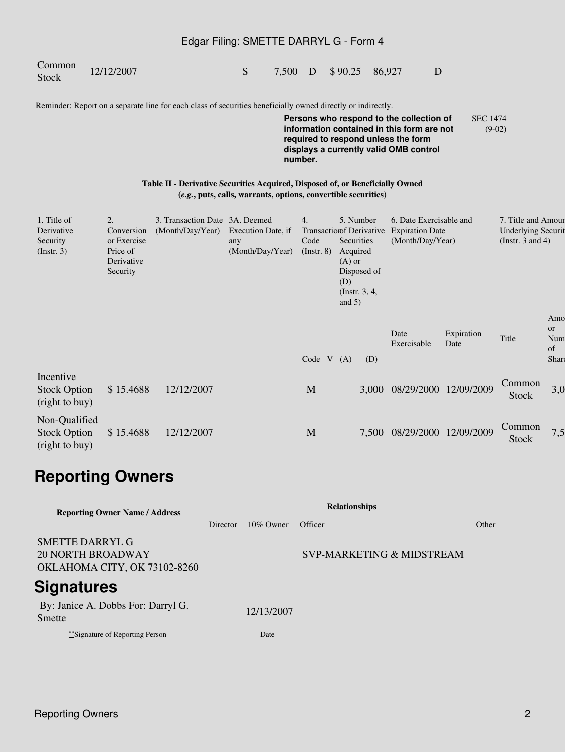## Edgar Filing: SMETTE DARRYL G - Form 4

Common

Stock 12/12/2007 Stock 5 7,500 D \$ 90.25 86,927 D

Reminder: Report on a separate line for each class of securities beneficially owned directly or indirectly.

**Persons who respond to the collection of information contained in this form are not required to respond unless the form displays a currently valid OMB control number.** SEC 1474 (9-02)

**Table II - Derivative Securities Acquired, Disposed of, or Beneficially Owned (***e.g.***, puts, calls, warrants, options, convertible securities)**

| 1. Title of<br>Derivative<br>Security<br>$($ Instr. 3 $)$ | 2.<br>Conversion<br>or Exercise<br>Price of<br>Derivative<br>Security | 3. Transaction Date 3A. Deemed<br>(Month/Day/Year) | Execution Date, if<br>any<br>(Month/Day/Year) | 4.<br>Transaction of Derivative<br>Code<br>$($ Instr. $8)$ | $(A)$ or<br>(D)  | 5. Number<br>Securities<br>Acquired<br>Disposed of<br>(Instr. $3, 4,$ | 6. Date Exercisable and<br><b>Expiration Date</b><br>(Month/Day/Year) |                    | 7. Title and Amour<br><b>Underlying Securit</b><br>(Instr. 3 and 4) |                                            |
|-----------------------------------------------------------|-----------------------------------------------------------------------|----------------------------------------------------|-----------------------------------------------|------------------------------------------------------------|------------------|-----------------------------------------------------------------------|-----------------------------------------------------------------------|--------------------|---------------------------------------------------------------------|--------------------------------------------|
|                                                           |                                                                       |                                                    |                                               | Code                                                       | and $5)$<br>V(A) | (D)                                                                   | Date<br>Exercisable                                                   | Expiration<br>Date | Title                                                               | Amo<br><sub>or</sub><br>Num<br>of<br>Share |
| Incentive<br><b>Stock Option</b><br>(right to buy)        | \$15.4688                                                             | 12/12/2007                                         |                                               | M                                                          |                  |                                                                       | 3,000 08/29/2000                                                      | 12/09/2009         | Common<br>Stock                                                     | 3,0                                        |
| Non-Qualified<br><b>Stock Option</b><br>(right to buy)    | \$15.4688                                                             | 12/12/2007                                         |                                               | M                                                          |                  | 7,500                                                                 | 08/29/2000                                                            | 12/09/2009         | Common<br>Stock                                                     | 7,5                                        |

## **Reporting Owners**

| <b>Reporting Owner Name / Address</b>                                | <b>Relationships</b> |              |                           |       |  |  |  |  |
|----------------------------------------------------------------------|----------------------|--------------|---------------------------|-------|--|--|--|--|
|                                                                      | Director             | $10\%$ Owner | Officer                   | Other |  |  |  |  |
| SMETTE DARRYL G<br>20 NORTH BROADWAY<br>OKLAHOMA CITY, OK 73102-8260 |                      |              | SVP-MARKETING & MIDSTREAM |       |  |  |  |  |
| Signatures                                                           |                      |              |                           |       |  |  |  |  |
| By: Janice A. Dobbs For: Darryl G.<br>Smette                         |                      | 12/13/2007   |                           |       |  |  |  |  |
| ***Signature of Reporting Person                                     |                      | Date         |                           |       |  |  |  |  |